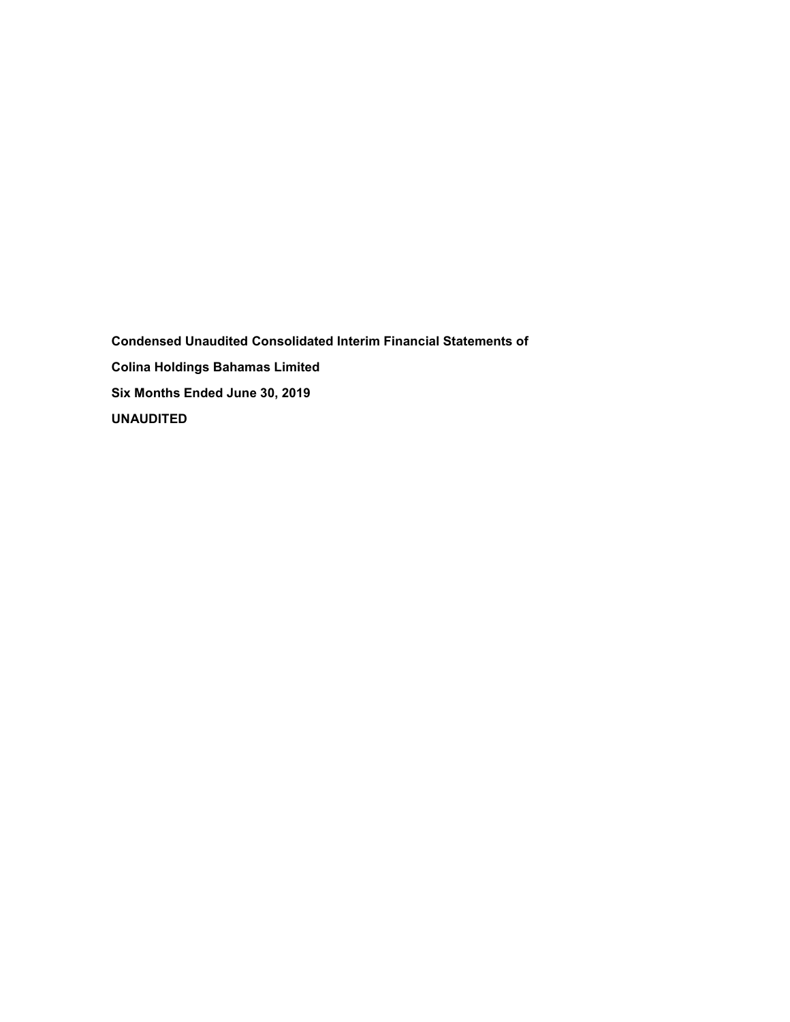**Condensed Unaudited Consolidated Interim Financial Statements of Colina Holdings Bahamas Limited Six Months Ended June 30, 2019 UNAUDITED**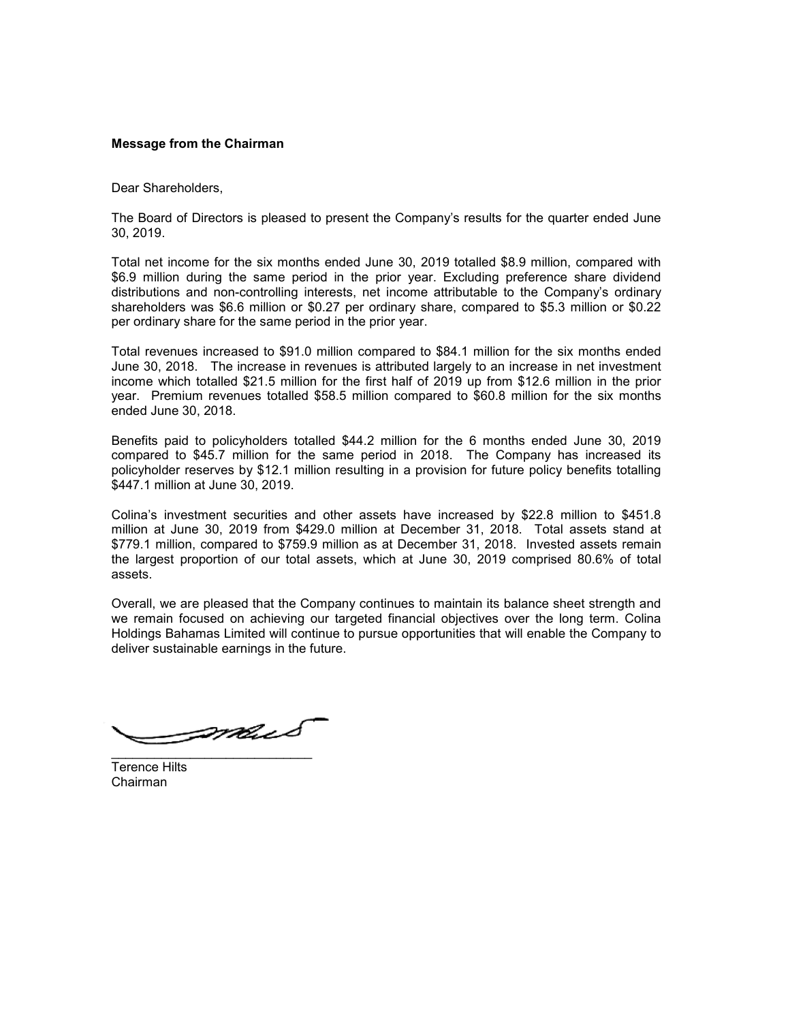# **Message from the Chairman**

Dear Shareholders,

The Board of Directors is pleased to present the Company's results for the quarter ended June 30, 2019.

Total net income for the six months ended June 30, 2019 totalled \$8.9 million, compared with \$6.9 million during the same period in the prior year. Excluding preference share dividend distributions and non-controlling interests, net income attributable to the Company's ordinary shareholders was \$6.6 million or \$0.27 per ordinary share, compared to \$5.3 million or \$0.22 per ordinary share for the same period in the prior year.

Total revenues increased to \$91.0 million compared to \$84.1 million for the six months ended June 30, 2018. The increase in revenues is attributed largely to an increase in net investment income which totalled \$21.5 million for the first half of 2019 up from \$12.6 million in the prior year. Premium revenues totalled \$58.5 million compared to \$60.8 million for the six months ended June 30, 2018.

Benefits paid to policyholders totalled \$44.2 million for the 6 months ended June 30, 2019 compared to \$45.7 million for the same period in 2018. The Company has increased its policyholder reserves by \$12.1 million resulting in a provision for future policy benefits totalling \$447.1 million at June 30, 2019.

Colina's investment securities and other assets have increased by \$22.8 million to \$451.8 million at June 30, 2019 from \$429.0 million at December 31, 2018. Total assets stand at \$779.1 million, compared to \$759.9 million as at December 31, 2018. Invested assets remain the largest proportion of our total assets, which at June 30, 2019 comprised 80.6% of total assets.

Overall, we are pleased that the Company continues to maintain its balance sheet strength and we remain focused on achieving our targeted financial objectives over the long term. Colina Holdings Bahamas Limited will continue to pursue opportunities that will enable the Company to deliver sustainable earnings in the future.

Smus \_\_\_\_\_\_\_\_\_\_\_\_\_\_\_\_\_\_\_\_\_\_\_\_\_\_\_\_

Terence Hilts Chairman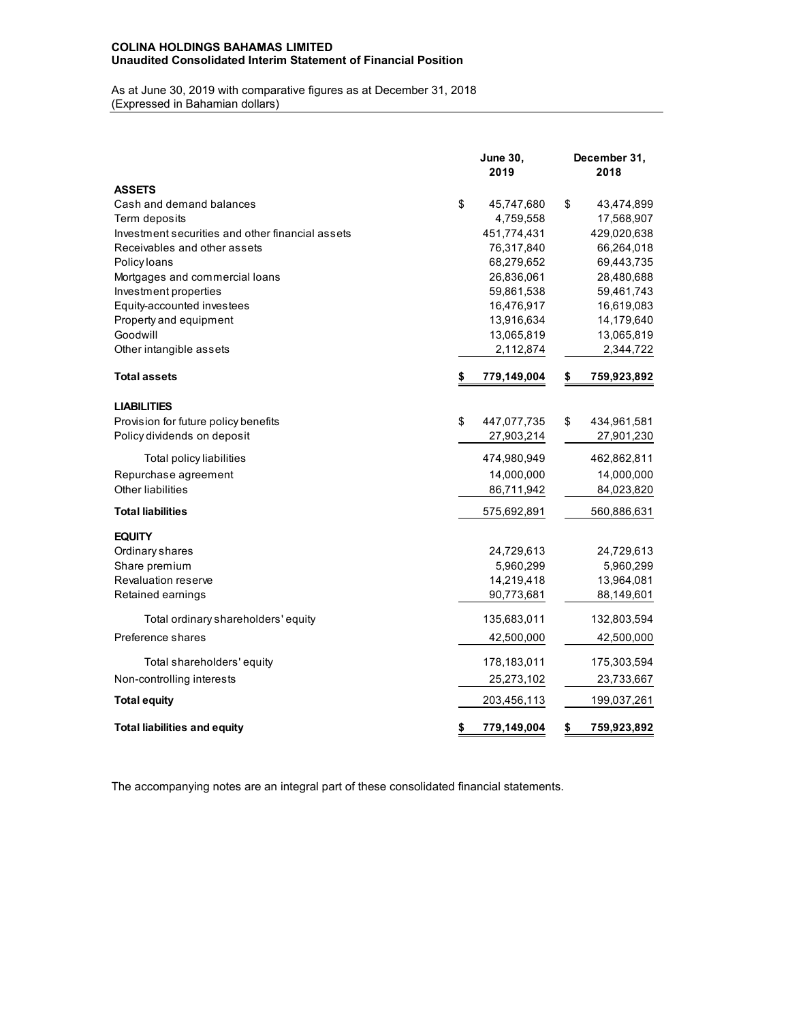# **COLINA HOLDINGS BAHAMAS LIMITED Unaudited Consolidated Interim Statement of Financial Position**

As at June 30, 2019 with comparative figures as at December 31, 2018 (Expressed in Bahamian dollars)

|                                                  | <b>June 30,</b><br>2019 |    | December 31,<br>2018 |
|--------------------------------------------------|-------------------------|----|----------------------|
| <b>ASSETS</b>                                    |                         |    |                      |
| Cash and demand balances                         | \$<br>45,747,680        | \$ | 43,474,899           |
| Term deposits                                    | 4,759,558               |    | 17,568,907           |
| Investment securities and other financial assets | 451,774,431             |    | 429,020,638          |
| Receivables and other assets                     | 76,317,840              |    | 66,264,018           |
| Policy loans                                     | 68,279,652              |    | 69,443,735           |
| Mortgages and commercial loans                   | 26,836,061              |    | 28,480,688           |
| Investment properties                            | 59,861,538              |    | 59,461,743           |
| Equity-accounted investees                       | 16,476,917              |    | 16,619,083           |
| Property and equipment                           | 13,916,634              |    | 14,179,640           |
| Goodwill                                         | 13,065,819              |    | 13,065,819           |
| Other intangible assets                          | 2,112,874               |    | 2,344,722            |
| <b>Total assets</b>                              | \$<br>779,149,004       | \$ | 759,923,892          |
| <b>LIABILITIES</b>                               |                         |    |                      |
| Provision for future policy benefits             | \$<br>447,077,735       | \$ | 434,961,581          |
| Policy dividends on deposit                      | 27,903,214              |    | 27,901,230           |
| Total policy liabilities                         | 474,980,949             |    | 462,862,811          |
| Repurchase agreement                             | 14,000,000              |    | 14,000,000           |
| Other liabilities                                | 86,711,942              |    | 84,023,820           |
| <b>Total liabilities</b>                         | 575,692,891             |    | 560,886,631          |
| <b>EQUITY</b>                                    |                         |    |                      |
| Ordinary shares                                  | 24,729,613              |    | 24,729,613           |
| Share premium                                    | 5,960,299               |    | 5,960,299            |
| Revaluation reserve                              | 14,219,418              |    | 13,964,081           |
| Retained earnings                                | 90,773,681              |    | 88,149,601           |
| Total ordinary shareholders' equity              | 135,683,011             |    | 132,803,594          |
| Preference shares                                | 42,500,000              |    | 42,500,000           |
| Total shareholders' equity                       | 178,183,011             |    | 175,303,594          |
| Non-controlling interests                        | 25,273,102              |    | 23,733,667           |
| <b>Total equity</b>                              | 203,456,113             |    | 199,037,261          |
| <b>Total liabilities and equity</b>              | \$<br>779,149,004       | \$ | 759,923,892          |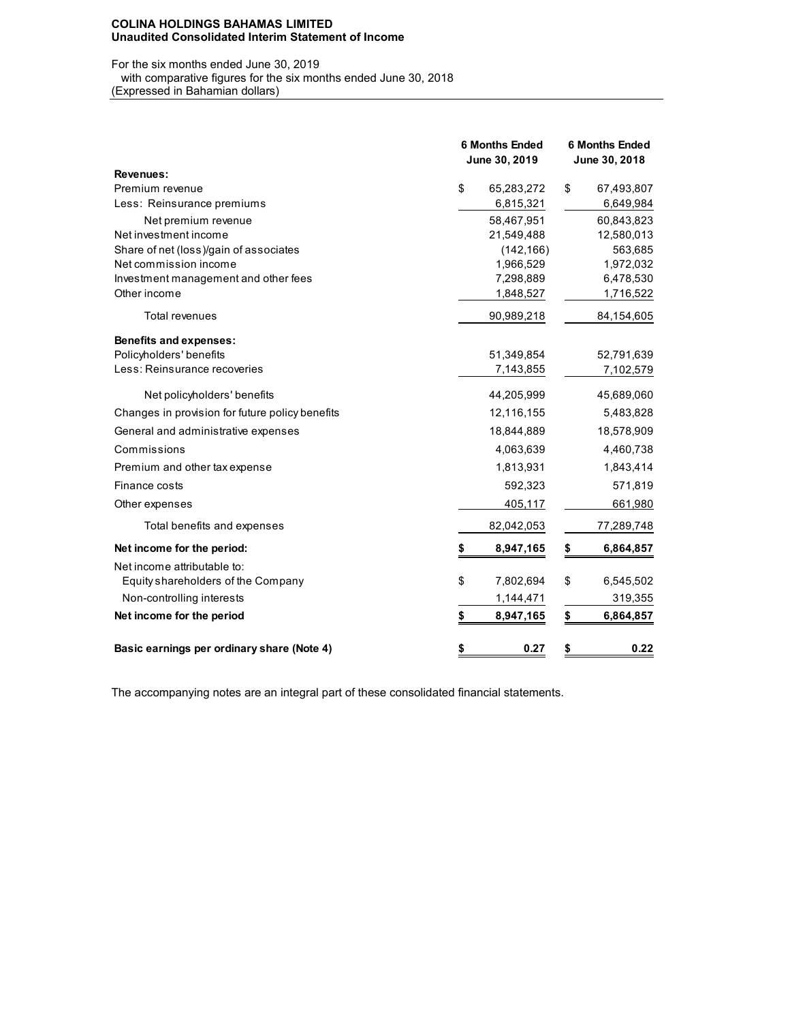#### **COLINA HOLDINGS BAHAMAS LIMITED Unaudited Consolidated Interim Statement of Income**

#### For the six months ended June 30, 2019 with comparative figures for the six months ended June 30, 2018 (Expressed in Bahamian dollars)

|                                                 | <b>6 Months Ended</b><br>June 30, 2019 |            | <b>6 Months Ended</b><br>June 30, 2018 |            |  |
|-------------------------------------------------|----------------------------------------|------------|----------------------------------------|------------|--|
| Revenues:                                       |                                        |            |                                        |            |  |
| Premium revenue                                 | \$                                     | 65,283,272 | \$                                     | 67,493,807 |  |
| Less: Reinsurance premiums                      |                                        | 6,815,321  |                                        | 6,649,984  |  |
| Net premium revenue                             |                                        | 58.467,951 |                                        | 60,843,823 |  |
| Net investment income                           |                                        | 21,549,488 |                                        | 12,580,013 |  |
| Share of net (loss)/gain of associates          |                                        | (142, 166) |                                        | 563,685    |  |
| Net commission income                           |                                        | 1,966,529  |                                        | 1,972,032  |  |
| Investment management and other fees            |                                        | 7,298,889  |                                        | 6,478,530  |  |
| Other income                                    |                                        | 1,848,527  |                                        | 1,716,522  |  |
| <b>Total revenues</b>                           |                                        | 90,989,218 |                                        | 84,154,605 |  |
| <b>Benefits and expenses:</b>                   |                                        |            |                                        |            |  |
| Policyholders' benefits                         |                                        | 51,349,854 |                                        | 52,791,639 |  |
| Less: Reinsurance recoveries                    |                                        | 7,143,855  |                                        | 7,102,579  |  |
| Net policyholders' benefits                     |                                        | 44,205,999 |                                        | 45,689,060 |  |
| Changes in provision for future policy benefits |                                        | 12,116,155 |                                        | 5,483,828  |  |
| General and administrative expenses             |                                        | 18,844,889 |                                        | 18,578,909 |  |
| Commissions                                     |                                        | 4,063,639  |                                        | 4,460,738  |  |
| Premium and other tax expense                   |                                        | 1,813,931  |                                        | 1,843,414  |  |
| Finance costs                                   |                                        | 592,323    |                                        | 571,819    |  |
| Other expenses                                  |                                        | 405,117    |                                        | 661,980    |  |
| Total benefits and expenses                     |                                        | 82,042,053 |                                        | 77,289,748 |  |
| Net income for the period:                      | \$                                     | 8,947,165  | \$                                     | 6,864,857  |  |
| Net income attributable to:                     |                                        |            |                                        |            |  |
| Equity shareholders of the Company              | \$                                     | 7,802,694  | \$                                     | 6,545,502  |  |
| Non-controlling interests                       |                                        | 1,144,471  |                                        | 319,355    |  |
| Net income for the period                       | \$                                     | 8,947,165  | \$                                     | 6,864,857  |  |
| Basic earnings per ordinary share (Note 4)      | \$                                     | 0.27       | \$                                     | 0.22       |  |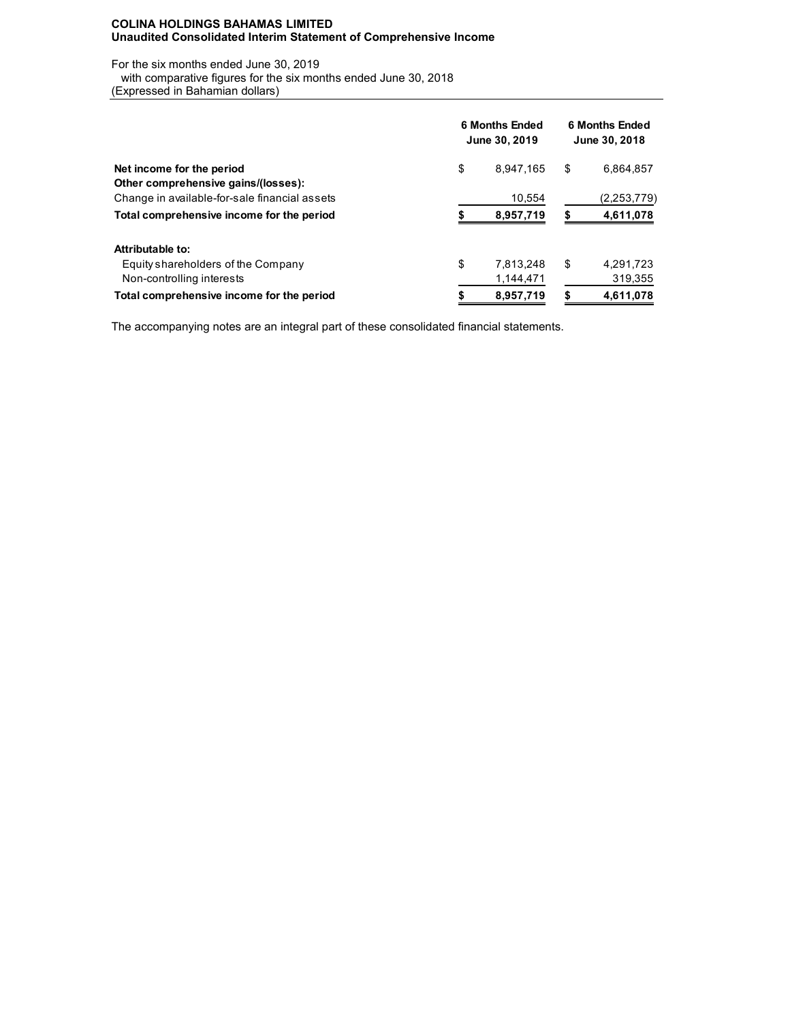### **COLINA HOLDINGS BAHAMAS LIMITED Unaudited Consolidated Interim Statement of Comprehensive Income**

For the six months ended June 30, 2019 with comparative figures for the six months ended June 30, 2018

(Expressed in Bahamian dollars)

|                                               | <b>6 Months Ended</b><br>June 30, 2019 |           |    | <b>6 Months Ended</b><br>June 30, 2018 |  |  |
|-----------------------------------------------|----------------------------------------|-----------|----|----------------------------------------|--|--|
| Net income for the period                     | \$                                     | 8.947.165 | \$ | 6,864,857                              |  |  |
| Other comprehensive gains/(losses):           |                                        |           |    |                                        |  |  |
| Change in available-for-sale financial assets |                                        | 10.554    |    | (2,253,779)                            |  |  |
| Total comprehensive income for the period     |                                        | 8,957,719 |    | 4,611,078                              |  |  |
| Attributable to:                              |                                        |           |    |                                        |  |  |
| Equity shareholders of the Company            | \$                                     | 7,813,248 | \$ | 4,291,723                              |  |  |
| Non-controlling interests                     |                                        | 1,144,471 |    | 319,355                                |  |  |
| Total comprehensive income for the period     |                                        | 8,957,719 |    | 4,611,078                              |  |  |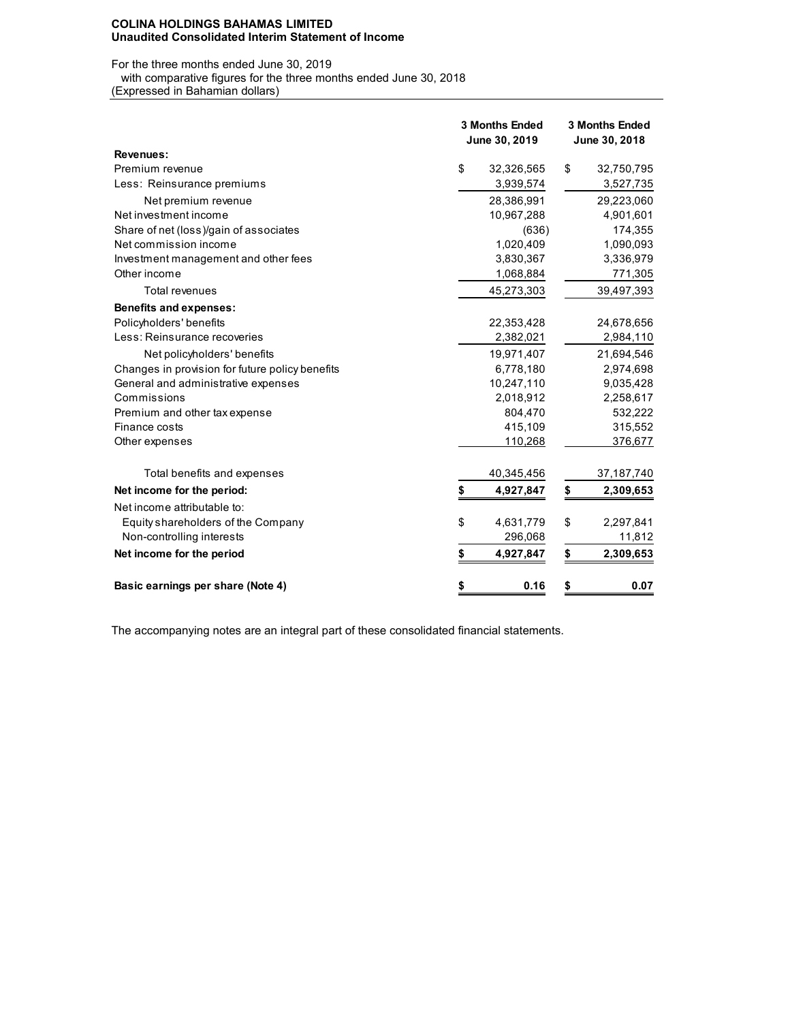#### **COLINA HOLDINGS BAHAMAS LIMITED Unaudited Consolidated Interim Statement of Income**

For the three months ended June 30, 2019

with comparative figures for the three months ended June 30, 2018

(Expressed in Bahamian dollars)

|                                                 | <b>3 Months Ended</b><br>June 30, 2019 |            | <b>3 Months Ended</b><br>June 30, 2018 |              |  |  |
|-------------------------------------------------|----------------------------------------|------------|----------------------------------------|--------------|--|--|
| Revenues:                                       |                                        |            |                                        |              |  |  |
| Premium revenue                                 | \$                                     | 32,326,565 | \$                                     | 32,750,795   |  |  |
| Less: Reinsurance premiums                      |                                        | 3,939,574  |                                        | 3,527,735    |  |  |
| Net premium revenue                             |                                        | 28,386,991 |                                        | 29,223,060   |  |  |
| Net investment income                           |                                        | 10,967,288 |                                        | 4,901,601    |  |  |
| Share of net (loss)/gain of associates          |                                        | (636)      |                                        | 174,355      |  |  |
| Net commission income                           |                                        | 1,020,409  |                                        | 1,090,093    |  |  |
| Investment management and other fees            |                                        | 3,830,367  |                                        | 3,336,979    |  |  |
| Other income                                    |                                        | 1,068,884  |                                        | 771,305      |  |  |
| <b>Total revenues</b>                           |                                        | 45,273,303 |                                        | 39,497,393   |  |  |
| <b>Benefits and expenses:</b>                   |                                        |            |                                        |              |  |  |
| Policyholders' benefits                         |                                        | 22,353,428 |                                        | 24,678,656   |  |  |
| Less: Reinsurance recoveries                    |                                        | 2,382,021  |                                        | 2,984,110    |  |  |
| Net policyholders' benefits                     |                                        | 19,971,407 |                                        | 21,694,546   |  |  |
| Changes in provision for future policy benefits |                                        | 6,778,180  |                                        | 2,974,698    |  |  |
| General and administrative expenses             |                                        | 10,247,110 |                                        | 9,035,428    |  |  |
| Commissions                                     |                                        | 2,018,912  |                                        | 2,258,617    |  |  |
| Premium and other tax expense                   |                                        | 804,470    |                                        | 532,222      |  |  |
| Finance costs                                   |                                        | 415,109    |                                        | 315,552      |  |  |
| Other expenses                                  |                                        | 110,268    |                                        | 376,677      |  |  |
| Total benefits and expenses                     |                                        | 40,345,456 |                                        | 37, 187, 740 |  |  |
| Net income for the period:                      | \$                                     | 4,927,847  | \$                                     | 2,309,653    |  |  |
| Net income attributable to:                     |                                        |            |                                        |              |  |  |
| Equity shareholders of the Company              | \$                                     | 4,631,779  | \$                                     | 2,297,841    |  |  |
| Non-controlling interests                       |                                        | 296,068    |                                        | 11,812       |  |  |
| Net income for the period                       | \$                                     | 4,927,847  | \$                                     | 2,309,653    |  |  |
| Basic earnings per share (Note 4)               | \$                                     | 0.16       | \$                                     | 0.07         |  |  |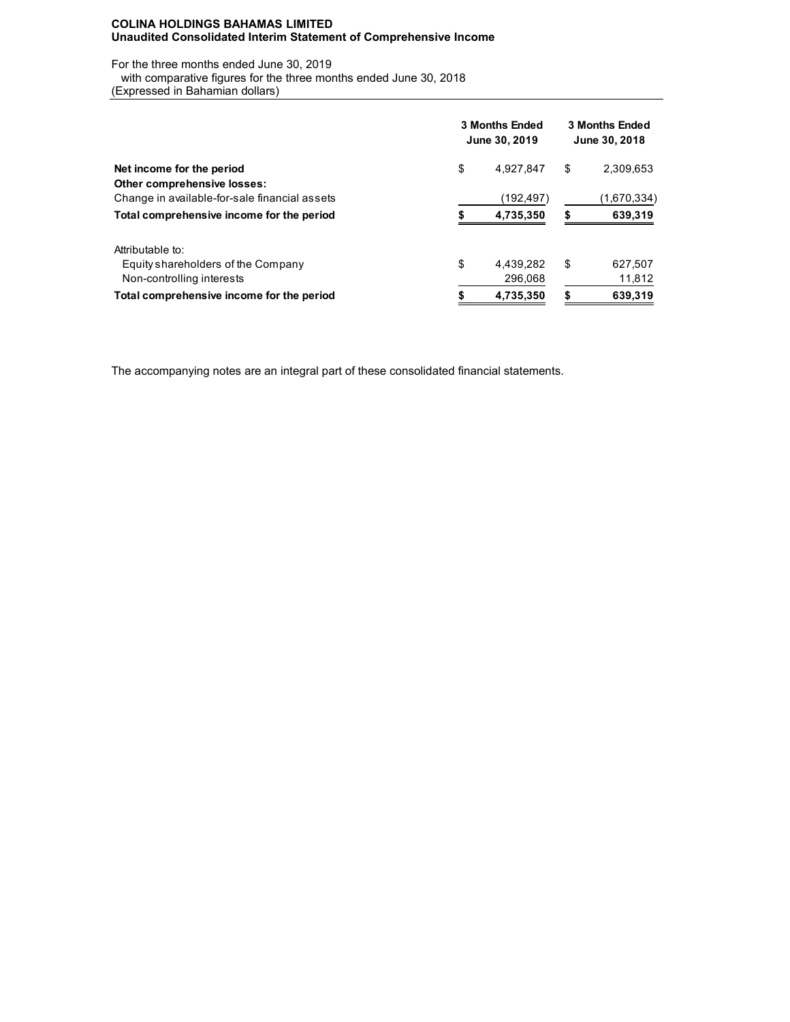### **COLINA HOLDINGS BAHAMAS LIMITED Unaudited Consolidated Interim Statement of Comprehensive Income**

For the three months ended June 30, 2019 with comparative figures for the three months ended June 30, 2018

(Expressed in Bahamian dollars)

|                                               | 3 Months Ended<br>June 30, 2019 |            |    | <b>3 Months Ended</b><br>June 30, 2018 |  |  |
|-----------------------------------------------|---------------------------------|------------|----|----------------------------------------|--|--|
| Net income for the period                     | \$                              | 4,927,847  | \$ | 2,309,653                              |  |  |
| Other comprehensive losses:                   |                                 |            |    |                                        |  |  |
| Change in available-for-sale financial assets |                                 | (192, 497) |    | (1,670,334)                            |  |  |
| Total comprehensive income for the period     |                                 | 4,735,350  |    | 639,319                                |  |  |
| Attributable to:                              |                                 |            |    |                                        |  |  |
| Equity shareholders of the Company            | \$                              | 4,439,282  | \$ | 627,507                                |  |  |
| Non-controlling interests                     |                                 | 296,068    |    | 11,812                                 |  |  |
| Total comprehensive income for the period     |                                 | 4,735,350  | S  | 639,319                                |  |  |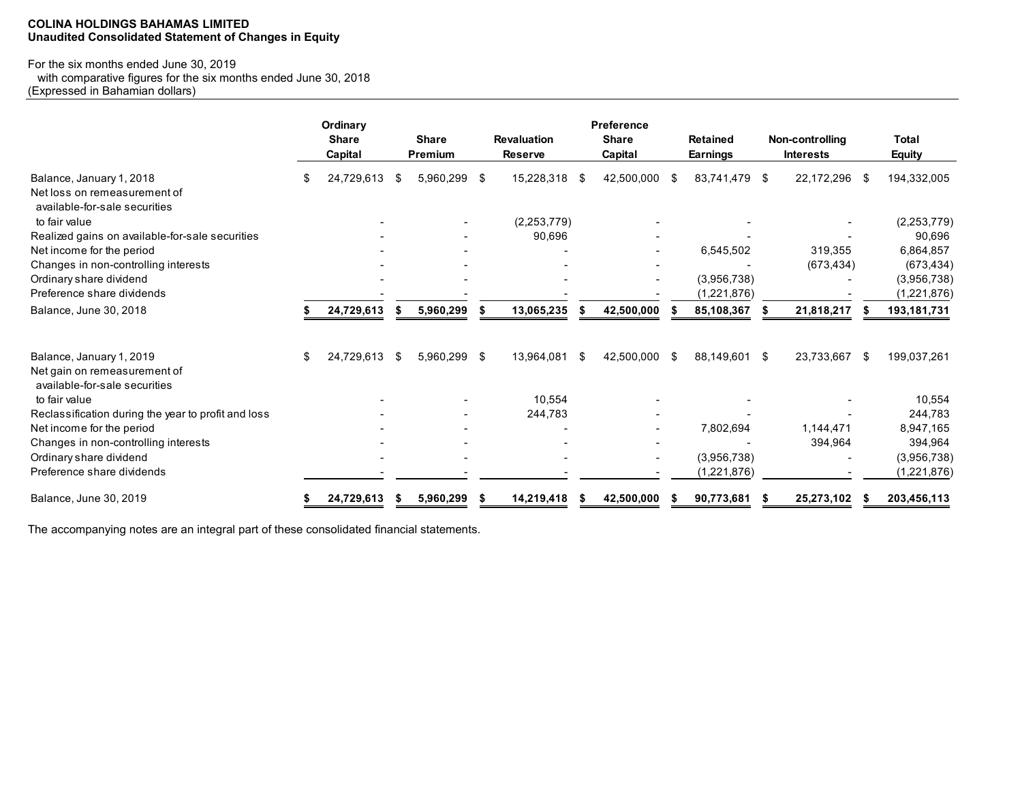# **COLINA HOLDINGS BAHAMAS LIMITED Unaudited Consolidated Statement of Changes in Equity**

# For the six months ended June 30, 2019

 with comparative figures for the six months ended June 30, 2018 (Expressed in Bahamian dollars)

|                                                                                           |    | Ordinary<br><b>Share</b><br>Capital |          | <b>Share</b><br><b>Premium</b> |  | <b>Revaluation</b><br><b>Reserve</b> |      | <b>Preference</b><br><b>Share</b><br>Capital |    | <b>Retained</b><br><b>Earnings</b> |    |            |      |               |  |  |  | Non-controlling<br><b>Interests</b> |  | <b>Total</b><br><b>Equity</b> |
|-------------------------------------------------------------------------------------------|----|-------------------------------------|----------|--------------------------------|--|--------------------------------------|------|----------------------------------------------|----|------------------------------------|----|------------|------|---------------|--|--|--|-------------------------------------|--|-------------------------------|
| Balance, January 1, 2018<br>Net loss on remeasurement of<br>available-for-sale securities | S  | 24,729,613                          | -S       | 5,960,299 \$                   |  | 15,228,318                           | - \$ | 42,500,000                                   | S  | 83,741,479                         | \$ | 22,172,296 | - \$ | 194,332,005   |  |  |  |                                     |  |                               |
| to fair value                                                                             |    |                                     |          |                                |  | (2, 253, 779)                        |      |                                              |    |                                    |    |            |      | (2, 253, 779) |  |  |  |                                     |  |                               |
| Realized gains on available-for-sale securities                                           |    |                                     |          |                                |  | 90,696                               |      |                                              |    |                                    |    |            |      | 90,696        |  |  |  |                                     |  |                               |
| Net income for the period                                                                 |    |                                     |          |                                |  |                                      |      |                                              |    | 6,545,502                          |    | 319,355    |      | 6,864,857     |  |  |  |                                     |  |                               |
| Changes in non-controlling interests                                                      |    |                                     |          |                                |  |                                      |      |                                              |    |                                    |    | (673, 434) |      | (673, 434)    |  |  |  |                                     |  |                               |
| Ordinary share dividend                                                                   |    |                                     |          |                                |  |                                      |      |                                              |    | (3,956,738)                        |    |            |      | (3,956,738)   |  |  |  |                                     |  |                               |
| Preference share dividends                                                                |    |                                     |          |                                |  |                                      |      |                                              |    | (1,221,876)                        |    |            |      | (1,221,876)   |  |  |  |                                     |  |                               |
| Balance, June 30, 2018                                                                    |    | 24,729,613                          |          | 5,960,299                      |  | 13,065,235                           |      | 42,500,000                                   |    | 85,108,367                         |    | 21,818,217 |      | 193,181,731   |  |  |  |                                     |  |                               |
| Balance, January 1, 2019                                                                  | \$ | 24,729,613                          | <b>S</b> | 5,960,299 \$                   |  | 13,964,081                           | - \$ | 42,500,000                                   | -S | 88,149,601                         | \$ | 23,733,667 | - \$ | 199,037,261   |  |  |  |                                     |  |                               |
| Net gain on remeasurement of<br>available-for-sale securities                             |    |                                     |          |                                |  |                                      |      |                                              |    |                                    |    |            |      |               |  |  |  |                                     |  |                               |
| to fair value                                                                             |    |                                     |          |                                |  | 10,554                               |      |                                              |    |                                    |    |            |      | 10,554        |  |  |  |                                     |  |                               |
| Reclassification during the year to profit and loss                                       |    |                                     |          |                                |  | 244,783                              |      |                                              |    |                                    |    |            |      | 244,783       |  |  |  |                                     |  |                               |
| Net income for the period                                                                 |    |                                     |          |                                |  |                                      |      |                                              |    | 7,802,694                          |    | 1,144,471  |      | 8,947,165     |  |  |  |                                     |  |                               |
| Changes in non-controlling interests                                                      |    |                                     |          |                                |  |                                      |      |                                              |    |                                    |    | 394,964    |      | 394,964       |  |  |  |                                     |  |                               |
| Ordinary share dividend                                                                   |    |                                     |          |                                |  |                                      |      |                                              |    | (3,956,738)                        |    |            |      | (3,956,738)   |  |  |  |                                     |  |                               |
| Preference share dividends                                                                |    |                                     |          |                                |  |                                      |      |                                              |    | (1,221,876)                        |    |            |      | (1,221,876)   |  |  |  |                                     |  |                               |
| Balance, June 30, 2019                                                                    |    | 24,729,613                          |          | 5,960,299                      |  | 14,219,418                           |      | 42,500,000                                   |    | 90,773,681                         |    | 25,273,102 |      | 203,456,113   |  |  |  |                                     |  |                               |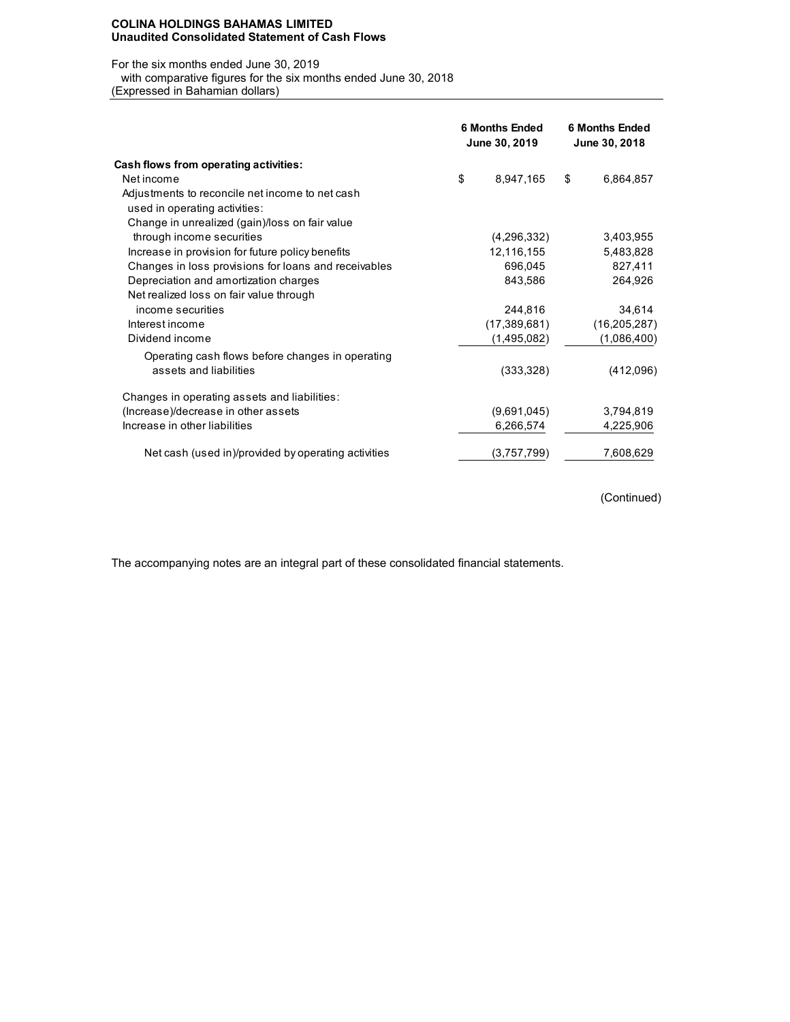#### **COLINA HOLDINGS BAHAMAS LIMITED Unaudited Consolidated Statement of Cash Flows**

#### For the six months ended June 30, 2019

with comparative figures for the six months ended June 30, 2018

(Expressed in Bahamian dollars)

|                                                      | <b>6 Months Ended</b><br>June 30, 2019 | <b>6 Months Ended</b><br>June 30, 2018 |
|------------------------------------------------------|----------------------------------------|----------------------------------------|
| Cash flows from operating activities:                |                                        |                                        |
| Net income                                           | \$<br>8,947,165                        | \$<br>6,864,857                        |
| Adjustments to reconcile net income to net cash      |                                        |                                        |
| used in operating activities:                        |                                        |                                        |
| Change in unrealized (gain)/loss on fair value       |                                        |                                        |
| through income securities                            | (4,296,332)                            | 3,403,955                              |
| Increase in provision for future policy benefits     | 12,116,155                             | 5,483,828                              |
| Changes in loss provisions for loans and receivables | 696,045                                | 827,411                                |
| Depreciation and amortization charges                | 843,586                                | 264,926                                |
| Net realized loss on fair value through              |                                        |                                        |
| income securities                                    | 244,816                                | 34,614                                 |
| Interest income                                      | (17, 389, 681)                         | (16, 205, 287)                         |
| Dividend income                                      | (1,495,082)                            | (1,086,400)                            |
| Operating cash flows before changes in operating     |                                        |                                        |
| assets and liabilities                               | (333, 328)                             | (412,096)                              |
| Changes in operating assets and liabilities:         |                                        |                                        |
| (Increase)/decrease in other assets                  | (9,691,045)                            | 3,794,819                              |
| Increase in other liabilities                        | 6,266,574                              | 4,225,906                              |
| Net cash (used in)/provided by operating activities  | (3,757,799)                            | 7,608,629                              |

(Continued)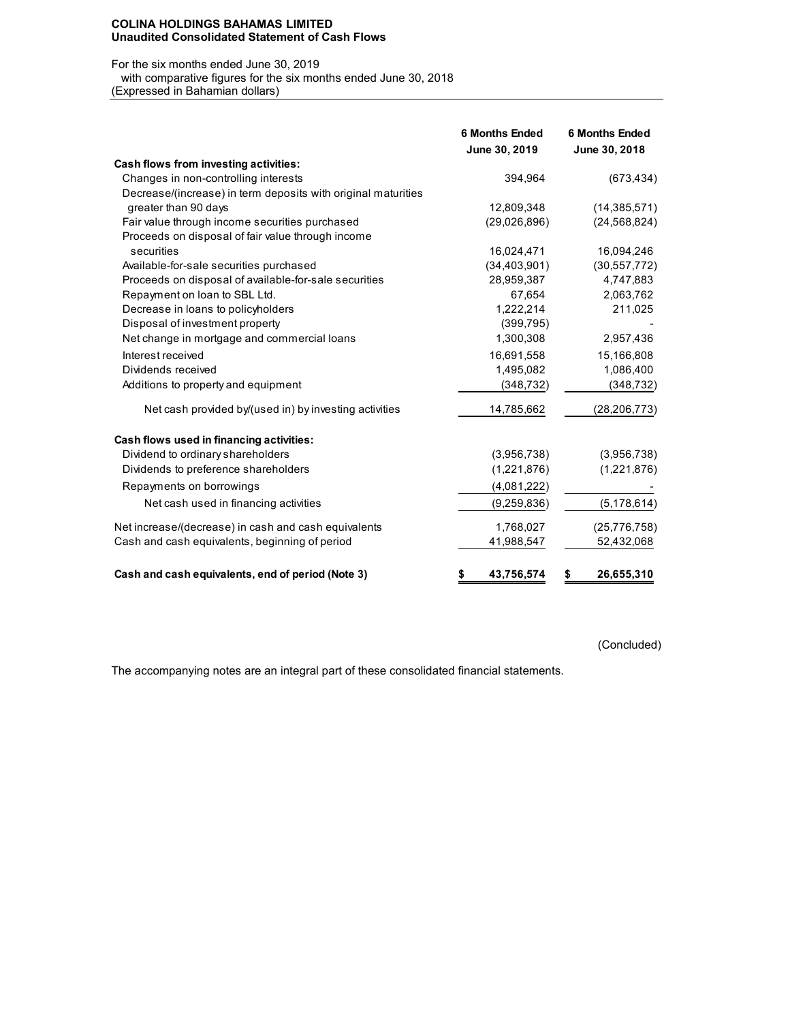### **COLINA HOLDINGS BAHAMAS LIMITED Unaudited Consolidated Statement of Cash Flows**

#### For the six months ended June 30, 2019

 with comparative figures for the six months ended June 30, 2018 (Expressed in Bahamian dollars)

|                                                               | <b>6 Months Ended</b><br>June 30, 2019 | <b>6 Months Ended</b><br>June 30, 2018 |
|---------------------------------------------------------------|----------------------------------------|----------------------------------------|
| Cash flows from investing activities:                         |                                        |                                        |
| Changes in non-controlling interests                          | 394,964                                | (673, 434)                             |
| Decrease/(increase) in term deposits with original maturities |                                        |                                        |
| greater than 90 days                                          | 12,809,348                             | (14, 385, 571)                         |
| Fair value through income securities purchased                | (29,026,896)                           | (24, 568, 824)                         |
| Proceeds on disposal of fair value through income             |                                        |                                        |
| securities                                                    | 16,024,471                             | 16,094,246                             |
| Available-for-sale securities purchased                       | (34, 403, 901)                         | (30, 557, 772)                         |
| Proceeds on disposal of available-for-sale securities         | 28.959,387                             | 4,747,883                              |
| Repayment on loan to SBL Ltd.                                 | 67,654                                 | 2,063,762                              |
| Decrease in loans to policyholders                            | 1,222,214                              | 211,025                                |
| Disposal of investment property                               | (399, 795)                             |                                        |
| Net change in mortgage and commercial loans                   | 1,300,308                              | 2,957,436                              |
| Interest received                                             | 16,691,558                             | 15,166,808                             |
| Dividends received                                            | 1,495,082                              | 1,086,400                              |
| Additions to property and equipment                           | (348, 732)                             | (348, 732)                             |
| Net cash provided by/(used in) by investing activities        | 14,785,662                             | (28, 206, 773)                         |
| Cash flows used in financing activities:                      |                                        |                                        |
| Dividend to ordinary shareholders                             | (3,956,738)                            | (3,956,738)                            |
| Dividends to preference shareholders                          | (1,221,876)                            | (1,221,876)                            |
| Repayments on borrowings                                      | (4,081,222)                            |                                        |
| Net cash used in financing activities                         | (9,259,836)                            | (5, 178, 614)                          |
| Net increase/(decrease) in cash and cash equivalents          | 1,768,027                              | (25, 776, 758)                         |
| Cash and cash equivalents, beginning of period                | 41,988,547                             | 52,432,068                             |
| Cash and cash equivalents, end of period (Note 3)             | 43,756,574<br>\$                       | 26,655,310<br>\$                       |

(Concluded)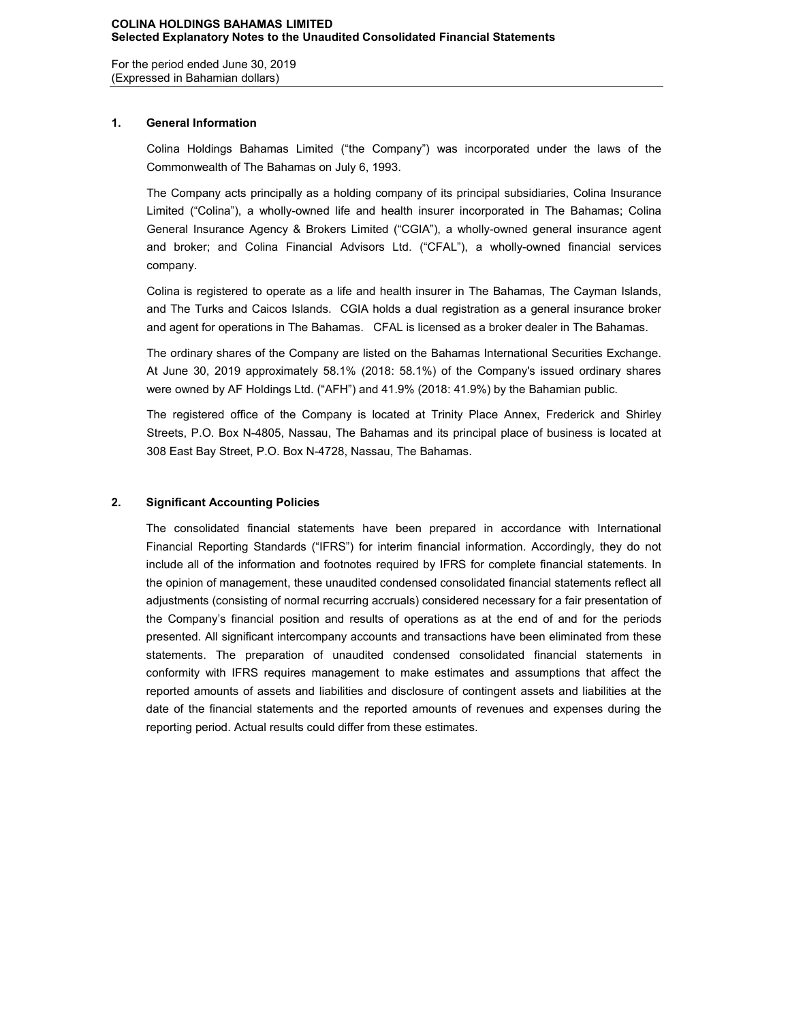For the period ended June 30, 2019 (Expressed in Bahamian dollars)

# **1. General Information**

Colina Holdings Bahamas Limited ("the Company") was incorporated under the laws of the Commonwealth of The Bahamas on July 6, 1993.

The Company acts principally as a holding company of its principal subsidiaries, Colina Insurance Limited ("Colina"), a wholly-owned life and health insurer incorporated in The Bahamas; Colina General Insurance Agency & Brokers Limited ("CGIA"), a wholly-owned general insurance agent and broker; and Colina Financial Advisors Ltd. ("CFAL"), a wholly-owned financial services company.

Colina is registered to operate as a life and health insurer in The Bahamas, The Cayman Islands, and The Turks and Caicos Islands. CGIA holds a dual registration as a general insurance broker and agent for operations in The Bahamas. CFAL is licensed as a broker dealer in The Bahamas.

The ordinary shares of the Company are listed on the Bahamas International Securities Exchange. At June 30, 2019 approximately 58.1% (2018: 58.1%) of the Company's issued ordinary shares were owned by AF Holdings Ltd. ("AFH") and 41.9% (2018: 41.9%) by the Bahamian public.

The registered office of the Company is located at Trinity Place Annex, Frederick and Shirley Streets, P.O. Box N-4805, Nassau, The Bahamas and its principal place of business is located at 308 East Bay Street, P.O. Box N-4728, Nassau, The Bahamas.

# **2. Significant Accounting Policies**

The consolidated financial statements have been prepared in accordance with International Financial Reporting Standards ("IFRS") for interim financial information. Accordingly, they do not include all of the information and footnotes required by IFRS for complete financial statements. In the opinion of management, these unaudited condensed consolidated financial statements reflect all adjustments (consisting of normal recurring accruals) considered necessary for a fair presentation of the Company's financial position and results of operations as at the end of and for the periods presented. All significant intercompany accounts and transactions have been eliminated from these statements. The preparation of unaudited condensed consolidated financial statements in conformity with IFRS requires management to make estimates and assumptions that affect the reported amounts of assets and liabilities and disclosure of contingent assets and liabilities at the date of the financial statements and the reported amounts of revenues and expenses during the reporting period. Actual results could differ from these estimates.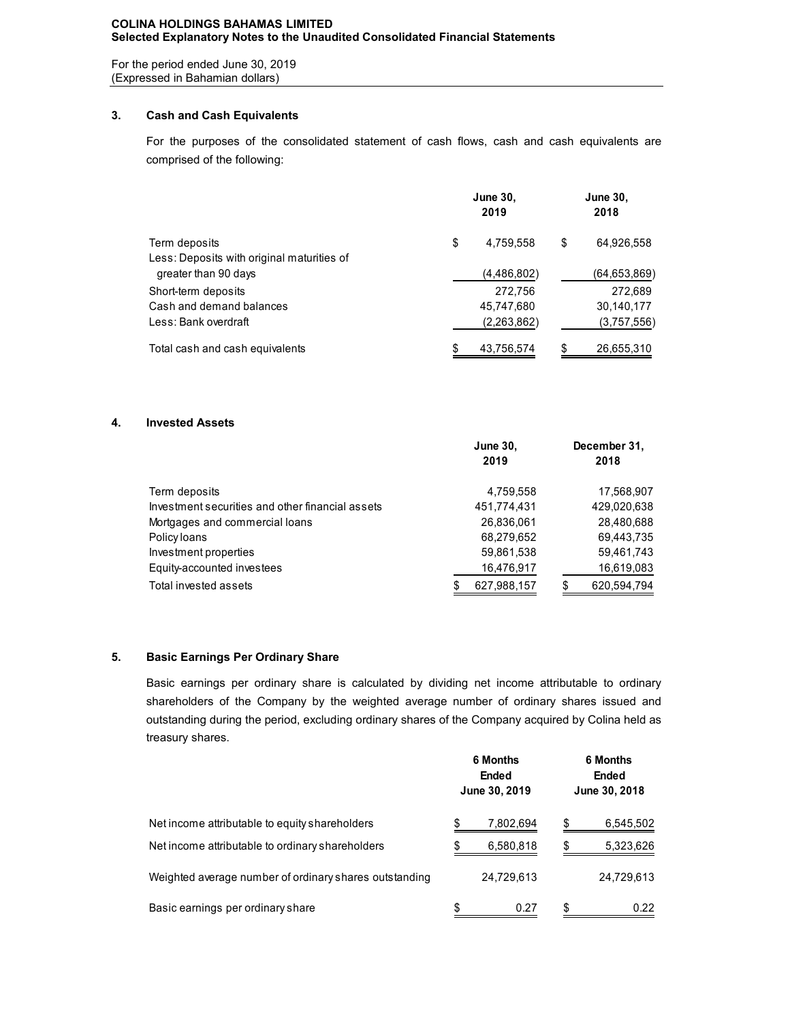### **COLINA HOLDINGS BAHAMAS LIMITED Selected Explanatory Notes to the Unaudited Consolidated Financial Statements**

For the period ended June 30, 2019 (Expressed in Bahamian dollars)

# **3. Cash and Cash Equivalents**

For the purposes of the consolidated statement of cash flows, cash and cash equivalents are comprised of the following:

|                                            | <b>June 30,</b><br>2019 | <b>June 30,</b><br>2018 |              |  |
|--------------------------------------------|-------------------------|-------------------------|--------------|--|
| Term deposits                              | \$<br>4,759,558         | \$                      | 64,926,558   |  |
| Less: Deposits with original maturities of |                         |                         |              |  |
| greater than 90 days                       | (4,486,802)             |                         | (64,653,869) |  |
| Short-term deposits                        | 272.756                 |                         | 272,689      |  |
| Cash and demand balances                   | 45,747,680              |                         | 30,140,177   |  |
| Less: Bank overdraft                       | (2,263,862)             |                         | (3,757,556)  |  |
| Total cash and cash equivalents            | 43,756,574              |                         | 26,655,310   |  |

# **4. Invested Assets**

|                                                  | <b>June 30,</b>  |   | December 31, |
|--------------------------------------------------|------------------|---|--------------|
|                                                  | 2019             |   | 2018         |
| Term deposits                                    | 4,759,558        |   | 17,568,907   |
| Investment securities and other financial assets | 451,774,431      |   | 429,020,638  |
| Mortgages and commercial loans                   | 26,836,061       |   | 28,480,688   |
| Policy loans                                     | 68,279,652       |   | 69,443,735   |
| Investment properties                            | 59,861,538       |   | 59,461,743   |
| Equity-accounted investees                       | 16,476,917       |   | 16,619,083   |
| Total invested assets                            | 627,988,157<br>S | S | 620,594,794  |

# **5. Basic Earnings Per Ordinary Share**

Basic earnings per ordinary share is calculated by dividing net income attributable to ordinary shareholders of the Company by the weighted average number of ordinary shares issued and outstanding during the period, excluding ordinary shares of the Company acquired by Colina held as treasury shares.

|                                                        |   | 6 Months<br><b>Ended</b><br>June 30, 2019 | <b>6 Months</b><br>Ended<br>June 30, 2018 |            |  |  |
|--------------------------------------------------------|---|-------------------------------------------|-------------------------------------------|------------|--|--|
| Net income attributable to equity shareholders         |   | 7,802,694                                 | S                                         | 6,545,502  |  |  |
| Net income attributable to ordinary shareholders       |   | 6,580,818                                 | S                                         | 5,323,626  |  |  |
| Weighted average number of ordinary shares outstanding |   | 24,729,613                                |                                           | 24,729,613 |  |  |
| Basic earnings per ordinary share                      | S | 0.27                                      | S                                         | 0.22       |  |  |